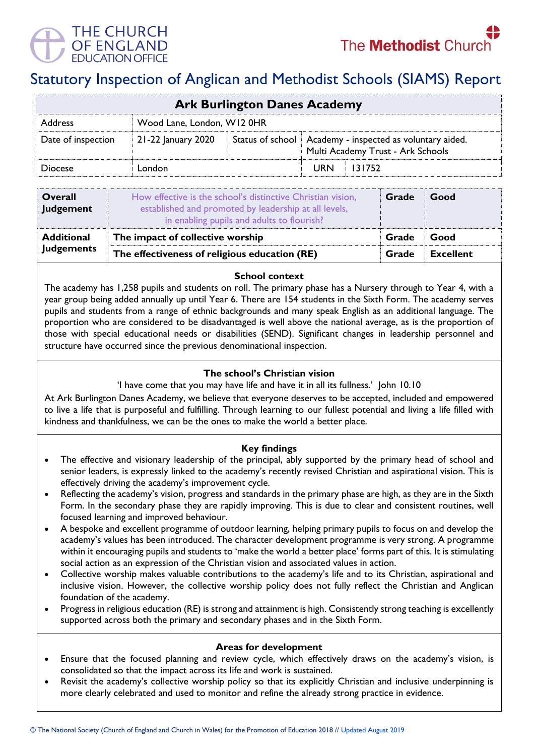



# Statutory Inspection of Anglican and Methodist Schools (SIAMS) Report

| <b>Ark Burlington Danes Academy</b> |                            |  |                                                                                                 |        |  |  |
|-------------------------------------|----------------------------|--|-------------------------------------------------------------------------------------------------|--------|--|--|
| <b>Address</b>                      | Wood Lane, London, W12 0HR |  |                                                                                                 |        |  |  |
| Date of inspection                  | 21-22 January 2020         |  | Status of school   Academy - inspected as voluntary aided.<br>Multi Academy Trust - Ark Schools |        |  |  |
| <b>Diocese</b>                      | London                     |  | <b>URN</b>                                                                                      | 131752 |  |  |

| <b>Overall</b><br>Judgement | How effective is the school's distinctive Christian vision,<br>established and promoted by leadership at all levels,<br>in enabling pupils and adults to flourish? | Grade | Good             |
|-----------------------------|--------------------------------------------------------------------------------------------------------------------------------------------------------------------|-------|------------------|
| <b>Additional</b>           | The impact of collective worship                                                                                                                                   | Grade | Good             |
| <b>Judgements</b>           | The effectiveness of religious education (RE)                                                                                                                      |       | <b>Excellent</b> |

### **School context**

The academy has 1,258 pupils and students on roll. The primary phase has a Nursery through to Year 4, with a year group being added annually up until Year 6. There are 154 students in the Sixth Form. The academy serves pupils and students from a range of ethnic backgrounds and many speak English as an additional language. The proportion who are considered to be disadvantaged is well above the national average, as is the proportion of those with special educational needs or disabilities (SEND). Significant changes in leadership personnel and structure have occurred since the previous denominational inspection.

## **The school's Christian vision**

'I have come that you may have life and have it in all its fullness.' John 10.10

At Ark Burlington Danes Academy, we believe that everyone deserves to be accepted, included and empowered to live a life that is purposeful and fulfilling. Through learning to our fullest potential and living a life filled with kindness and thankfulness, we can be the ones to make the world a better place.

## **Key findings**

- The effective and visionary leadership of the principal, ably supported by the primary head of school and senior leaders, is expressly linked to the academy's recently revised Christian and aspirational vision. This is effectively driving the academy's improvement cycle.
- Reflecting the academy's vision, progress and standards in the primary phase are high, as they are in the Sixth Form. In the secondary phase they are rapidly improving. This is due to clear and consistent routines, well focused learning and improved behaviour.
- A bespoke and excellent programme of outdoor learning, helping primary pupils to focus on and develop the academy's values has been introduced. The character development programme is very strong. A programme within it encouraging pupils and students to 'make the world a better place' forms part of this. It is stimulating social action as an expression of the Christian vision and associated values in action.
- Collective worship makes valuable contributions to the academy's life and to its Christian, aspirational and inclusive vision. However, the collective worship policy does not fully reflect the Christian and Anglican foundation of the academy.
- Progress in religious education (RE) is strong and attainment is high. Consistently strong teaching is excellently supported across both the primary and secondary phases and in the Sixth Form.

### **Areas for development**

- Ensure that the focused planning and review cycle, which effectively draws on the academy's vision, is consolidated so that the impact across its life and work is sustained.
- Revisit the academy's collective worship policy so that its explicitly Christian and inclusive underpinning is more clearly celebrated and used to monitor and refine the already strong practice in evidence.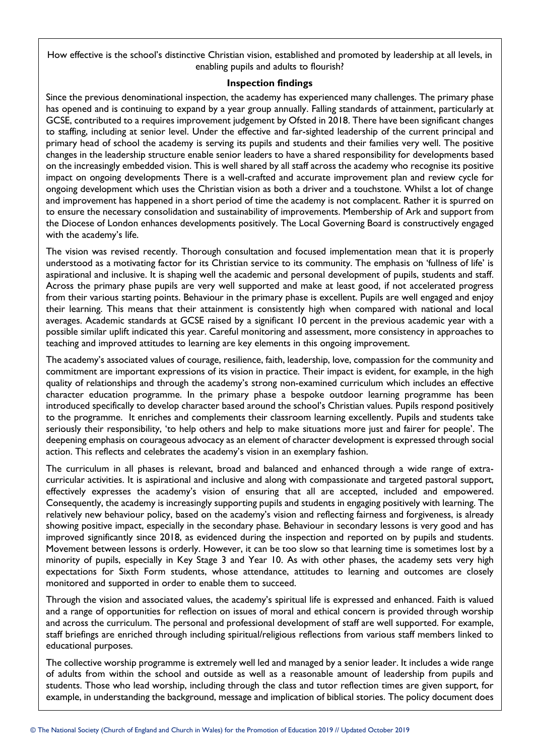How effective is the school's distinctive Christian vision, established and promoted by leadership at all levels, in enabling pupils and adults to flourish?

## **Inspection findings**

Since the previous denominational inspection, the academy has experienced many challenges. The primary phase has opened and is continuing to expand by a year group annually. Falling standards of attainment, particularly at GCSE, contributed to a requires improvement judgement by Ofsted in 2018. There have been significant changes to staffing, including at senior level. Under the effective and far-sighted leadership of the current principal and primary head of school the academy is serving its pupils and students and their families very well. The positive changes in the leadership structure enable senior leaders to have a shared responsibility for developments based on the increasingly embedded vision. This is well shared by all staff across the academy who recognise its positive impact on ongoing developments There is a well-crafted and accurate improvement plan and review cycle for ongoing development which uses the Christian vision as both a driver and a touchstone. Whilst a lot of change and improvement has happened in a short period of time the academy is not complacent. Rather it is spurred on to ensure the necessary consolidation and sustainability of improvements. Membership of Ark and support from the Diocese of London enhances developments positively. The Local Governing Board is constructively engaged with the academy's life.

The vision was revised recently. Thorough consultation and focused implementation mean that it is properly understood as a motivating factor for its Christian service to its community. The emphasis on 'fullness of life' is aspirational and inclusive. It is shaping well the academic and personal development of pupils, students and staff. Across the primary phase pupils are very well supported and make at least good, if not accelerated progress from their various starting points. Behaviour in the primary phase is excellent. Pupils are well engaged and enjoy their learning. This means that their attainment is consistently high when compared with national and local averages. Academic standards at GCSE raised by a significant 10 percent in the previous academic year with a possible similar uplift indicated this year. Careful monitoring and assessment, more consistency in approaches to teaching and improved attitudes to learning are key elements in this ongoing improvement.

The academy's associated values of courage, resilience, faith, leadership, love, compassion for the community and commitment are important expressions of its vision in practice. Their impact is evident, for example, in the high quality of relationships and through the academy's strong non-examined curriculum which includes an effective character education programme. In the primary phase a bespoke outdoor learning programme has been introduced specifically to develop character based around the school's Christian values. Pupils respond positively to the programme. It enriches and complements their classroom learning excellently. Pupils and students take seriously their responsibility, 'to help others and help to make situations more just and fairer for people'. The deepening emphasis on courageous advocacy as an element of character development is expressed through social action. This reflects and celebrates the academy's vision in an exemplary fashion.

The curriculum in all phases is relevant, broad and balanced and enhanced through a wide range of extracurricular activities. It is aspirational and inclusive and along with compassionate and targeted pastoral support, effectively expresses the academy's vision of ensuring that all are accepted, included and empowered. Consequently, the academy is increasingly supporting pupils and students in engaging positively with learning. The relatively new behaviour policy, based on the academy's vision and reflecting fairness and forgiveness, is already showing positive impact, especially in the secondary phase. Behaviour in secondary lessons is very good and has improved significantly since 2018, as evidenced during the inspection and reported on by pupils and students. Movement between lessons is orderly. However, it can be too slow so that learning time is sometimes lost by a minority of pupils, especially in Key Stage 3 and Year 10. As with other phases, the academy sets very high expectations for Sixth Form students, whose attendance, attitudes to learning and outcomes are closely monitored and supported in order to enable them to succeed.

Through the vision and associated values, the academy's spiritual life is expressed and enhanced. Faith is valued and a range of opportunities for reflection on issues of moral and ethical concern is provided through worship and across the curriculum. The personal and professional development of staff are well supported. For example, staff briefings are enriched through including spiritual/religious reflections from various staff members linked to educational purposes.

The collective worship programme is extremely well led and managed by a senior leader. It includes a wide range of adults from within the school and outside as well as a reasonable amount of leadership from pupils and students. Those who lead worship, including through the class and tutor reflection times are given support, for example, in understanding the background, message and implication of biblical stories. The policy document does